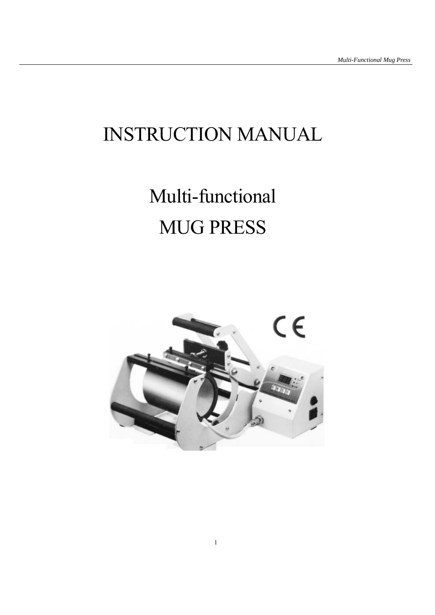## INSTRUCTION MANUAL

# Multi-functional MUG PRESS

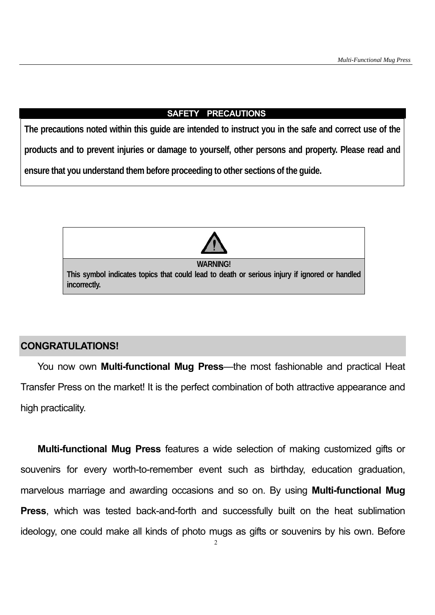#### **SAFETY PRECAUTIONS**

**The precautions noted within this guide are intended to instruct you in the safe and correct use of the products and to prevent injuries or damage to yourself, other persons and property. Please read and ensure that you understand them before proceeding to other sections of the guide.** 



#### **CONGRATULATIONS!**

You now own **Multi-functional Mug Press**—the most fashionable and practical Heat Transfer Press on the market! It is the perfect combination of both attractive appearance and high practicality.

**Multi-functional Mug Press** features a wide selection of making customized gifts or souvenirs for every worth-to-remember event such as birthday, education graduation, marvelous marriage and awarding occasions and so on. By using **Multi-functional Mug Press**, which was tested back-and-forth and successfully built on the heat sublimation ideology, one could make all kinds of photo mugs as gifts or souvenirs by his own. Before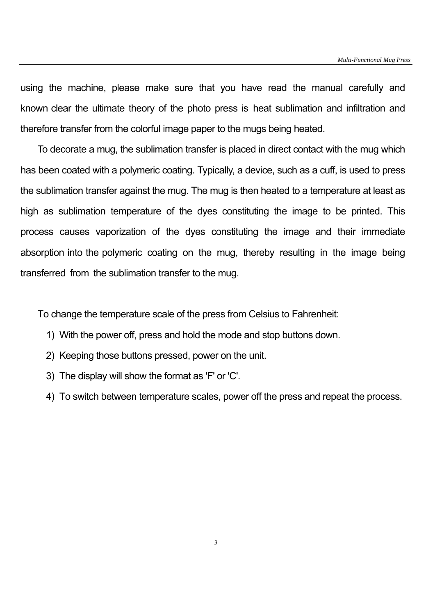using the machine, please make sure that you have read the manual carefully and known clear the ultimate theory of the photo press is heat sublimation and infiltration and therefore transfer from the colorful image paper to the mugs being heated.

To decorate a mug, the sublimation transfer is placed in direct contact with the mug which has been coated with a polymeric coating. Typically, a device, such as a cuff, is used to press the sublimation transfer against the mug. The mug is then heated to a temperature at least as high as sublimation temperature of the dyes constituting the image to be printed. This process causes vaporization of the dyes constituting the image and their immediate absorption into the polymeric coating on the mug, thereby resulting in the image being transferred from the sublimation transfer to the mug.

To change the temperature scale of the press from Celsius to Fahrenheit:

- 1) With the power off, press and hold the mode and stop buttons down.
- 2) Keeping those buttons pressed, power on the unit.
- 3) The display will show the format as 'F' or 'C'.
- 4) To switch between temperature scales, power off the press and repeat the process.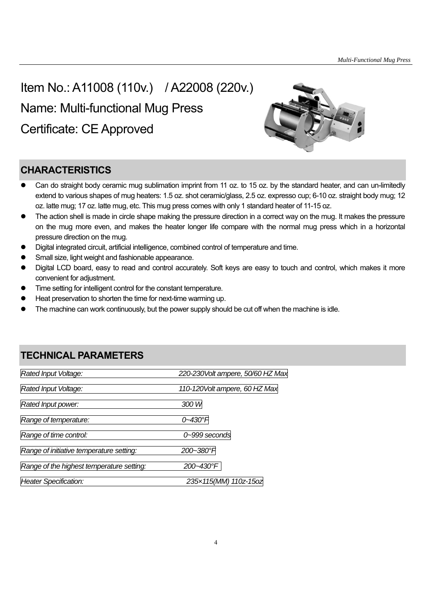## Item No.: A11008 (110v.) / A22008 (220v.)

Name: Multi-functional Mug Press

Certificate: CE Approved



## **CHARACTERISTICS**

- Can do straight body ceramic mug sublimation imprint from 11 oz. to 15 oz. by the standard heater, and can un-limitedly extend to various shapes of mug heaters: 1.5 oz. shot ceramic/glass, 2.5 oz. expresso cup; 6-10 oz. straight body mug; 12 oz. latte mug; 17 oz. latte mug, etc. This mug press comes with only 1 standard heater of 11-15 oz.
- The action shell is made in circle shape making the pressure direction in a correct way on the mug. It makes the pressure on the mug more even, and makes the heater longer life compare with the normal mug press which in a horizontal pressure direction on the mug.
- Digital integrated circuit, artificial intelligence, combined control of temperature and time.
- Small size, light weight and fashionable appearance.
- Digital LCD board, easy to read and control accurately. Soft keys are easy to touch and control, which makes it more convenient for adjustment.
- Time setting for intelligent control for the constant temperature.
- Heat preservation to shorten the time for next-time warming up.
- The machine can work continuously, but the power supply should be cut off when the machine is idle.

## **TECHNICAL PARAMETERS**

| Rated Input Voltage:                      | 220-230Volt ampere, 50/60 HZ Max |
|-------------------------------------------|----------------------------------|
| Rated Input Voltage:                      | 110-120Volt ampere, 60 HZ Max    |
| Rated Input power:                        | 300 W                            |
| Range of temperature:                     | 0~430°H                          |
| Range of time control:                    | 0~999 seconds                    |
| Range of initiative temperature setting:  | 200~380°F                        |
| Range of the highest temperature setting: | 200~430°F                        |
| Heater Specification:                     | 235x115(MM) 110z-15oz            |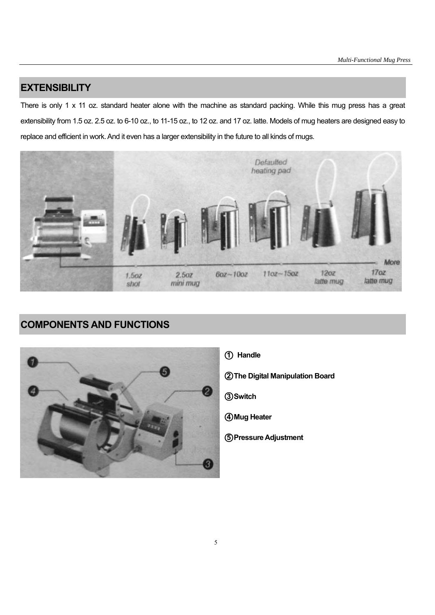#### **EXTENSIBILITY**

There is only 1 x 11 oz. standard heater alone with the machine as standard packing. While this mug press has a great extensibility from 1.5 oz. 2.5 oz. to 6-10 oz., to 11-15 oz., to 12 oz. and 17 oz. latte. Models of mug heaters are designed easy to replace and efficient in work. And it even has a larger extensibility in the future to all kinds of mugs.



## **COMPONENTS AND FUNCTIONS**



○**1 Handle** 

○**2 The Digital Manipulation Board** 

○**3 Switch** 

○**4 Mug Heater** 

○**5 Pressure Adjustment**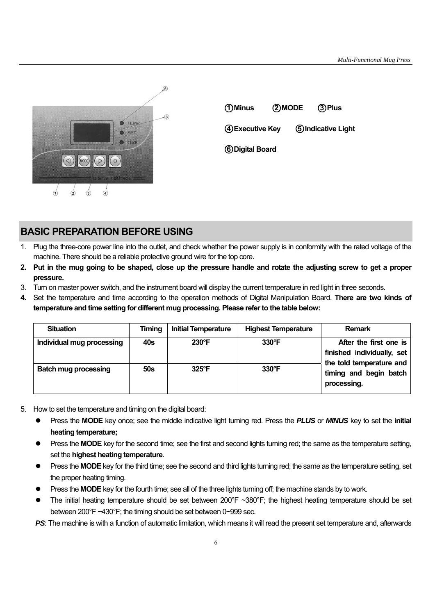

| 1 Minus         |  | 2 MODE | ③Plus               |  |
|-----------------|--|--------|---------------------|--|
| 4 Executive Key |  |        | 5) Indicative Light |  |
| 6 Digital Board |  |        |                     |  |
|                 |  |        |                     |  |

## **BASIC PREPARATION BEFORE USING**

- 1. Plug the three-core power line into the outlet, and check whether the power supply is in conformity with the rated voltage of the machine. There should be a reliable protective ground wire for the top core.
- **2. Put in the mug going to be shaped, close up the pressure handle and rotate the adjusting screw to get a proper pressure.**
- 3. Turn on master power switch, and the instrument board will display the current temperature in red light in three seconds.
- **4.** Set the temperature and time according to the operation methods of Digital Manipulation Board. **There are two kinds of temperature and time setting for different mug processing. Please refer to the table below:**

| <b>Situation</b>            | <b>Timing</b> | <b>Initial Temperature</b> | <b>Highest Temperature</b> | <b>Remark</b>                                                                                                             |  |
|-----------------------------|---------------|----------------------------|----------------------------|---------------------------------------------------------------------------------------------------------------------------|--|
| Individual mug processing   | 40s           | $230^{\circ}F$             | $330^\circ F$              | After the first one is<br>finished individually, set<br>the told temperature and<br>timing and begin batch<br>processing. |  |
| <b>Batch mug processing</b> | 50s           | $325^{\circ}F$             | $330^\circ F$              |                                                                                                                           |  |

- 5. How to set the temperature and timing on the digital board:
	- Press the **MODE** key once; see the middle indicative light turning red. Press the *PLUS* or *MINUS* key to set the **initial heating temperature;**
	- Press the **MODE** key for the second time; see the first and second lights turning red; the same as the temperature setting, set the **highest heating temperature**.
	- Press the **MODE** key for the third time; see the second and third lights turning red; the same as the temperature setting, set the proper heating timing.
	- Press the **MODE** key for the fourth time; see all of the three lights turning off; the machine stands by to work.
	- The initial heating temperature should be set between 200 $\degree$ F ~380 $\degree$ F; the highest heating temperature should be set between 200°F ~430°F; the timing should be set between 0~999 sec.

**PS:** The machine is with a function of automatic limitation, which means it will read the present set temperature and, afterwards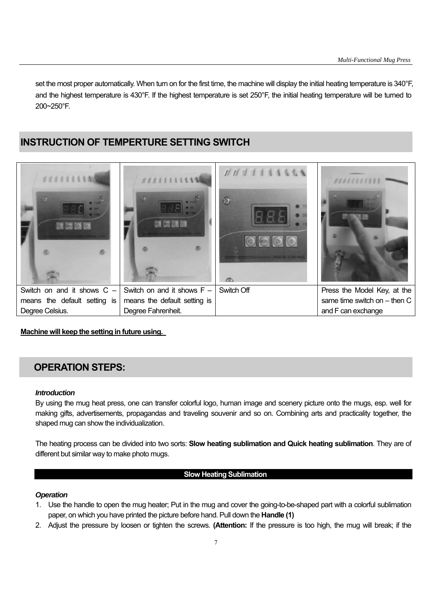set the most proper automatically. When turn on for the first time, the machine will display the initial heating temperature is 340°F, and the highest temperature is 430°F. If the highest temperature is set 250°F, the initial heating temperature will be turned to 200~250°F.

### **INSTRUCTION OF TEMPERTURE SETTING SWITCH**



#### **Machine will keep the setting in future using.**

#### **OPERATION STEPS:**

#### *Introduction*

By using the mug heat press, one can transfer colorful logo, human image and scenery picture onto the mugs, esp. well for making gifts, advertisements, propagandas and traveling souvenir and so on. Combining arts and practicality together, the shaped mug can show the individualization.

The heating process can be divided into two sorts: **Slow heating sublimation and Quick heating sublimation**. They are of different but similar way to make photo mugs.

#### **Slow Heating Sublimation**

#### *Operation*

- 1. Use the handle to open the mug heater; Put in the mug and cover the going-to-be-shaped part with a colorful sublimation paper, on which you have printed the picture before hand. Pull down the **Handle (1)**
- 2. Adjust the pressure by loosen or tighten the screws. **(Attention:** If the pressure is too high, the mug will break; if the